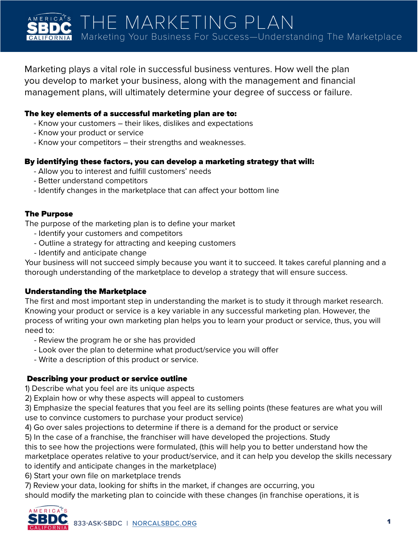Marketing plays a vital role in successful business ventures. How well the plan you develop to market your business, along with the management and financial management plans, will ultimately determine your degree of success or failure.

## The key elements of a successful marketing plan are to:

- Know your customers their likes, dislikes and expectations
- Know your product or service
- Know your competitors their strengths and weaknesses.

## By identifying these factors, you can develop a marketing strategy that will:

- Allow you to interest and fulfill customers' needs
- Better understand competitors
- Identify changes in the marketplace that can affect your bottom line

## The Purpose

The purpose of the marketing plan is to define your market

- Identify your customers and competitors
- Outline a strategy for attracting and keeping customers
- Identify and anticipate change

Your business will not succeed simply because you want it to succeed. It takes careful planning and a thorough understanding of the marketplace to develop a strategy that will ensure success.

# Understanding the Marketplace

The first and most important step in understanding the market is to study it through market research. Knowing your product or service is a key variable in any successful marketing plan. However, the process of writing your own marketing plan helps you to learn your product or service, thus, you will need to:

- Review the program he or she has provided
- Look over the plan to determine what product/service you will offer
- Write a description of this product or service.

# Describing your product or service outline

1) Describe what you feel are its unique aspects

2) Explain how or why these aspects will appeal to customers

3) Emphasize the special features that you feel are its selling points (these features are what you will use to convince customers to purchase your product service)

4) Go over sales projections to determine if there is a demand for the product or service

5) In the case of a franchise, the franchiser will have developed the projections. Study

this to see how the projections were formulated, (this will help you to better understand how the marketplace operates relative to your product/service, and it can help you develop the skills necessary

to identify and anticipate changes in the marketplace)

6) Start your own file on marketplace trends

7) Review your data, looking for shifts in the market, if changes are occurring, you

should modify the marketing plan to coincide with these changes (in franchise operations, it is

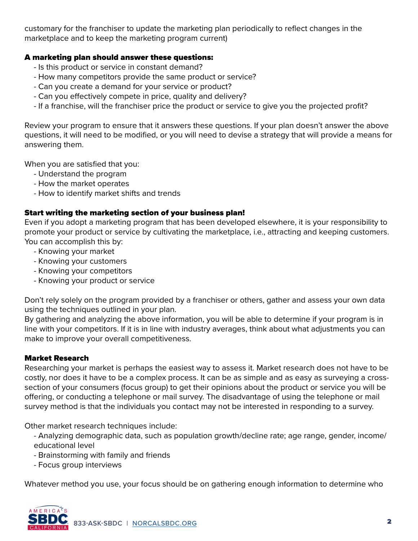customary for the franchiser to update the marketing plan periodically to reflect changes in the marketplace and to keep the marketing program current)

### A marketing plan should answer these questions:

- Is this product or service in constant demand?
- How many competitors provide the same product or service?
- Can you create a demand for your service or product?
- Can you effectively compete in price, quality and delivery?
- If a franchise, will the franchiser price the product or service to give you the projected profit?

Review your program to ensure that it answers these questions. If your plan doesn't answer the above questions, it will need to be modified, or you will need to devise a strategy that will provide a means for answering them.

When you are satisfied that you:

- Understand the program
- How the market operates
- How to identify market shifts and trends

## Start writing the marketing section of your business plan!

Even if you adopt a marketing program that has been developed elsewhere, it is your responsibility to promote your product or service by cultivating the marketplace, i.e., attracting and keeping customers. You can accomplish this by:

- Knowing your market
- Knowing your customers
- Knowing your competitors
- Knowing your product or service

Don't rely solely on the program provided by a franchiser or others, gather and assess your own data using the techniques outlined in your plan.

By gathering and analyzing the above information, you will be able to determine if your program is in line with your competitors. If it is in line with industry averages, think about what adjustments you can make to improve your overall competitiveness.

# Market Research

Researching your market is perhaps the easiest way to assess it. Market research does not have to be costly, nor does it have to be a complex process. It can be as simple and as easy as surveying a crosssection of your consumers (focus group) to get their opinions about the product or service you will be offering, or conducting a telephone or mail survey. The disadvantage of using the telephone or mail survey method is that the individuals you contact may not be interested in responding to a survey.

Other market research techniques include:

- Analyzing demographic data, such as population growth/decline rate; age range, gender, income/ educational level
- Brainstorming with family and friends
- Focus group interviews

Whatever method you use, your focus should be on gathering enough information to determine who